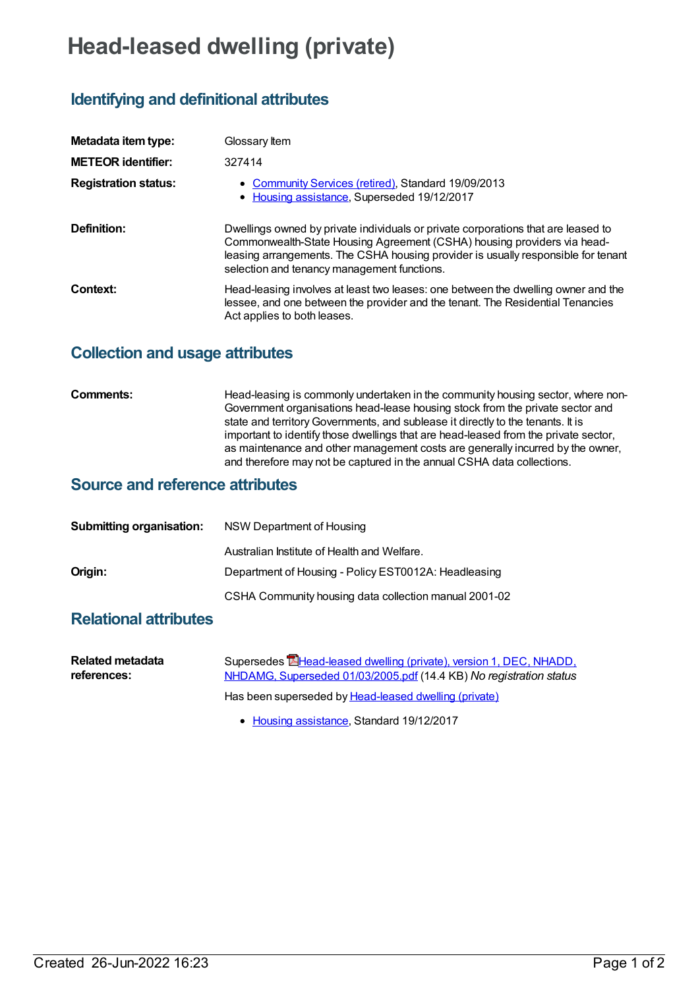# **Head-leased dwelling (private)**

# **Identifying and definitional attributes**

| Metadata item type:         | Glossary Item                                                                                                                                                                                                                                                                                    |
|-----------------------------|--------------------------------------------------------------------------------------------------------------------------------------------------------------------------------------------------------------------------------------------------------------------------------------------------|
| <b>METEOR identifier:</b>   | 327414                                                                                                                                                                                                                                                                                           |
| <b>Registration status:</b> | • Community Services (retired), Standard 19/09/2013<br>• Housing assistance, Superseded 19/12/2017                                                                                                                                                                                               |
| Definition:                 | Dwellings owned by private individuals or private corporations that are leased to<br>Commonwealth-State Housing Agreement (CSHA) housing providers via head-<br>leasing arrangements. The CSHA housing provider is usually responsible for tenant<br>selection and tenancy management functions. |
| Context:                    | Head-leasing involves at least two leases: one between the dwelling owner and the<br>lessee, and one between the provider and the tenant. The Residential Tenancies<br>Act applies to both leases.                                                                                               |

### **Collection and usage attributes**

**Comments:** Head-leasing is commonly undertaken in the community housing sector, where non-Government organisations head-lease housing stock from the private sector and state and territory Governments, and sublease it directly to the tenants. It is important to identify those dwellings that are head-leased from the private sector, as maintenance and other management costs are generally incurred by the owner, and therefore may not be captured in the annual CSHA data collections.

### **Source and reference attributes**

| <b>Submitting organisation:</b> | NSW Department of Housing                             |
|---------------------------------|-------------------------------------------------------|
|                                 | Australian Institute of Health and Welfare.           |
| Origin:                         | Department of Housing - Policy EST0012A: Headleasing  |
|                                 | CSHA Community housing data collection manual 2001-02 |

## **Relational attributes**

| Related metadata | Supersedes <b>E</b> Head-leased dwelling (private), version 1, DEC, NHADD, |
|------------------|----------------------------------------------------------------------------|
| references:      | NHDAMG, Superseded 01/03/2005.pdf (14.4 KB) No registration status         |
|                  | Has been superseded by Head-leased dwelling (private)                      |

• Housing [assistance](https://meteor.aihw.gov.au/RegistrationAuthority/11), Standard 19/12/2017